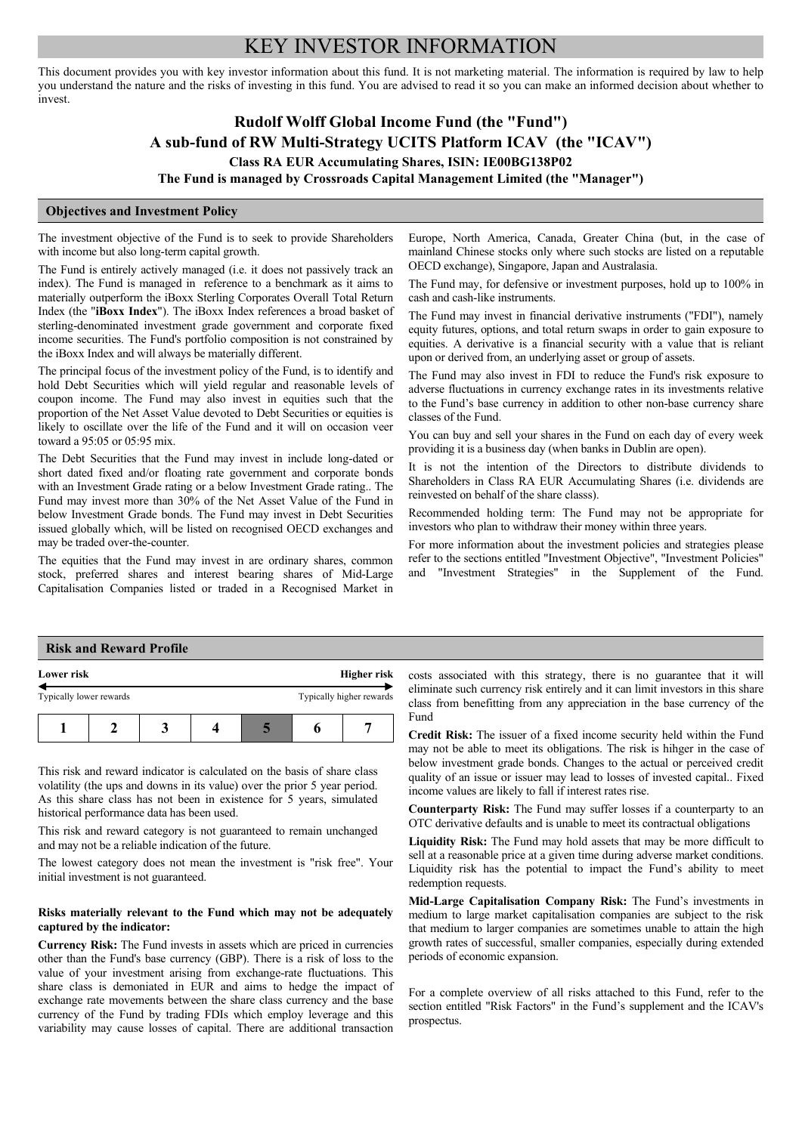# KEY INVESTOR INFORMATION

This document provides you with key investor information about this fund. It is not marketing material. The information is required by law to help you understand the nature and the risks of investing in this fund. You are advised to read it so you can make an informed decision about whether to invest.

## **Rudolf Wolff Global Income Fund (the "Fund") A sub-fund of RW Multi-Strategy UCITS Platform ICAV (the "ICAV") Class RA EUR Accumulating Shares, ISIN: IE00BG138P02**

**The Fund is managed by Crossroads Capital Management Limited (the "Manager")**

### **Objectives and Investment Policy**

The investment objective of the Fund is to seek to provide Shareholders with income but also long-term capital growth.

The Fund is entirely actively managed (i.e. it does not passively track an index). The Fund is managed in reference to a benchmark as it aims to materially outperform the iBoxx Sterling Corporates Overall Total Return Index (the "**iBoxx Index**"). The iBoxx Index references a broad basket of sterling-denominated investment grade government and corporate fixed income securities. The Fund's portfolio composition is not constrained by the iBoxx Index and will always be materially different.

The principal focus of the investment policy of the Fund, is to identify and hold Debt Securities which will yield regular and reasonable levels of coupon income. The Fund may also invest in equities such that the proportion of the Net Asset Value devoted to Debt Securities or equities is likely to oscillate over the life of the Fund and it will on occasion veer toward a 95:05 or 05:95 mix.

The Debt Securities that the Fund may invest in include long-dated or short dated fixed and/or floating rate government and corporate bonds with an Investment Grade rating or a below Investment Grade rating.. The Fund may invest more than 30% of the Net Asset Value of the Fund in below Investment Grade bonds. The Fund may invest in Debt Securities issued globally which, will be listed on recognised OECD exchanges and may be traded over-the-counter.

The equities that the Fund may invest in are ordinary shares, common stock, preferred shares and interest bearing shares of Mid-Large Capitalisation Companies listed or traded in a Recognised Market in Europe, North America, Canada, Greater China (but, in the case of mainland Chinese stocks only where such stocks are listed on a reputable OECD exchange), Singapore, Japan and Australasia.

The Fund may, for defensive or investment purposes, hold up to 100% in cash and cash-like instruments.

The Fund may invest in financial derivative instruments ("FDI"), namely equity futures, options, and total return swaps in order to gain exposure to equities. A derivative is a financial security with a value that is reliant upon or derived from, an underlying asset or group of assets.

The Fund may also invest in FDI to reduce the Fund's risk exposure to adverse fluctuations in currency exchange rates in its investments relative to the Fund's base currency in addition to other non-base currency share classes of the Fund.

You can buy and sell your shares in the Fund on each day of every week providing it is a business day (when banks in Dublin are open).

It is not the intention of the Directors to distribute dividends to Shareholders in Class RA EUR Accumulating Shares (i.e. dividends are reinvested on behalf of the share classs).

Recommended holding term: The Fund may not be appropriate for investors who plan to withdraw their money within three years.

For more information about the investment policies and strategies please refer to the sections entitled "Investment Objective", "Investment Policies" and "Investment Strategies" in the Supplement of the Fund.

### **Risk and Reward Profile**

| Lower risk              |  | Higher risk |  |                          |
|-------------------------|--|-------------|--|--------------------------|
| Typically lower rewards |  |             |  | Typically higher rewards |
|                         |  |             |  |                          |

This risk and reward indicator is calculated on the basis of share class volatility (the ups and downs in its value) over the prior 5 year period. As this share class has not been in existence for 5 years, simulated historical performance data has been used.

This risk and reward category is not guaranteed to remain unchanged and may not be a reliable indication of the future.

The lowest category does not mean the investment is "risk free". Your initial investment is not guaranteed.

#### **Risks materially relevant to the Fund which may not be adequately captured by the indicator:**

**Currency Risk:** The Fund invests in assets which are priced in currencies other than the Fund's base currency (GBP). There is a risk of loss to the value of your investment arising from exchange-rate fluctuations. This share class is demoniated in EUR and aims to hedge the impact of exchange rate movements between the share class currency and the base currency of the Fund by trading FDIs which employ leverage and this variability may cause losses of capital. There are additional transaction

costs associated with this strategy, there is no guarantee that it will eliminate such currency risk entirely and it can limit investors in this share class from benefitting from any appreciation in the base currency of the Fund

**Credit Risk:** The issuer of a fixed income security held within the Fund may not be able to meet its obligations. The risk is hihger in the case of below investment grade bonds. Changes to the actual or perceived credit quality of an issue or issuer may lead to losses of invested capital.. Fixed income values are likely to fall if interest rates rise.

**Counterparty Risk:** The Fund may suffer losses if a counterparty to an OTC derivative defaults and is unable to meet its contractual obligations

**Liquidity Risk:** The Fund may hold assets that may be more difficult to sell at a reasonable price at a given time during adverse market conditions. Liquidity risk has the potential to impact the Fund's ability to meet redemption requests.

**Mid-Large Capitalisation Company Risk:** The Fund's investments in medium to large market capitalisation companies are subject to the risk that medium to larger companies are sometimes unable to attain the high growth rates of successful, smaller companies, especially during extended periods of economic expansion.

For a complete overview of all risks attached to this Fund, refer to the section entitled "Risk Factors" in the Fund's supplement and the ICAV's prospectus.